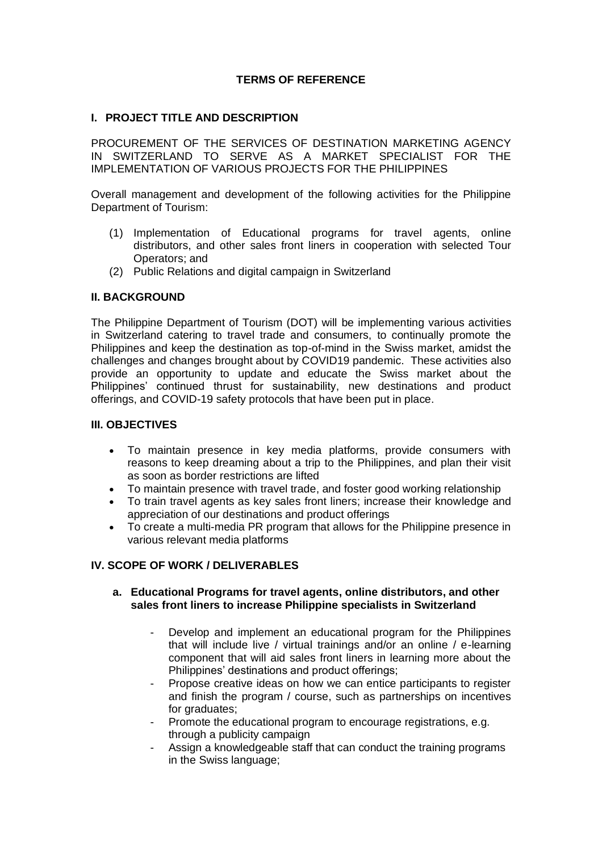## **TERMS OF REFERENCE**

### **I. PROJECT TITLE AND DESCRIPTION**

PROCUREMENT OF THE SERVICES OF DESTINATION MARKETING AGENCY IN SWITZERLAND TO SERVE AS A MARKET SPECIALIST FOR THE IMPLEMENTATION OF VARIOUS PROJECTS FOR THE PHILIPPINES

Overall management and development of the following activities for the Philippine Department of Tourism:

- (1) Implementation of Educational programs for travel agents, online distributors, and other sales front liners in cooperation with selected Tour Operators; and
- (2) Public Relations and digital campaign in Switzerland

### **II. BACKGROUND**

The Philippine Department of Tourism (DOT) will be implementing various activities in Switzerland catering to travel trade and consumers, to continually promote the Philippines and keep the destination as top-of-mind in the Swiss market, amidst the challenges and changes brought about by COVID19 pandemic. These activities also provide an opportunity to update and educate the Swiss market about the Philippines' continued thrust for sustainability, new destinations and product offerings, and COVID-19 safety protocols that have been put in place.

#### **III. OBJECTIVES**

- To maintain presence in key media platforms, provide consumers with reasons to keep dreaming about a trip to the Philippines, and plan their visit as soon as border restrictions are lifted
- To maintain presence with travel trade, and foster good working relationship
- To train travel agents as key sales front liners; increase their knowledge and appreciation of our destinations and product offerings
- To create a multi-media PR program that allows for the Philippine presence in various relevant media platforms

### **IV. SCOPE OF WORK / DELIVERABLES**

#### **a. Educational Programs for travel agents, online distributors, and other sales front liners to increase Philippine specialists in Switzerland**

- Develop and implement an educational program for the Philippines that will include live / virtual trainings and/or an online / e-learning component that will aid sales front liners in learning more about the Philippines' destinations and product offerings;
- Propose creative ideas on how we can entice participants to register and finish the program / course, such as partnerships on incentives for graduates:
- Promote the educational program to encourage registrations, e.g. through a publicity campaign
- Assign a knowledgeable staff that can conduct the training programs in the Swiss language;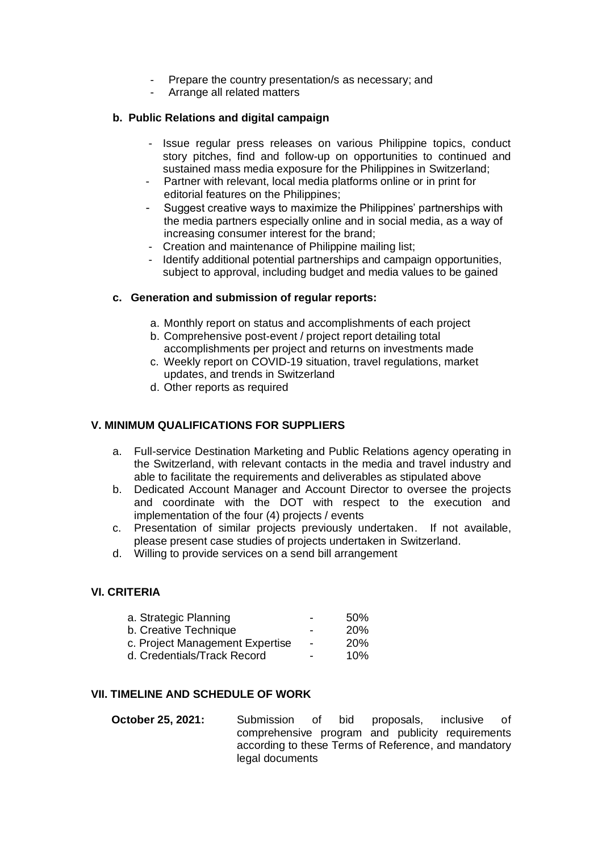- Prepare the country presentation/s as necessary; and
- Arrange all related matters

# **b. Public Relations and digital campaign**

- Issue regular press releases on various Philippine topics, conduct story pitches, find and follow-up on opportunities to continued and sustained mass media exposure for the Philippines in Switzerland;
- Partner with relevant, local media platforms online or in print for editorial features on the Philippines;
- Suggest creative ways to maximize the Philippines' partnerships with the media partners especially online and in social media, as a way of increasing consumer interest for the brand;
- Creation and maintenance of Philippine mailing list;
- Identify additional potential partnerships and campaign opportunities, subject to approval, including budget and media values to be gained

### **c. Generation and submission of regular reports:**

- a. Monthly report on status and accomplishments of each project
- b. Comprehensive post-event / project report detailing total accomplishments per project and returns on investments made
- c. Weekly report on COVID-19 situation, travel regulations, market updates, and trends in Switzerland
- d. Other reports as required

# **V. MINIMUM QUALIFICATIONS FOR SUPPLIERS**

- a. Full-service Destination Marketing and Public Relations agency operating in the Switzerland, with relevant contacts in the media and travel industry and able to facilitate the requirements and deliverables as stipulated above
- b. Dedicated Account Manager and Account Director to oversee the projects and coordinate with the DOT with respect to the execution and implementation of the four (4) projects / events
- c. Presentation of similar projects previously undertaken. If not available, please present case studies of projects undertaken in Switzerland.
- d. Willing to provide services on a send bill arrangement

### **VI. CRITERIA**

| a. Strategic Planning           |   | .50%       |
|---------------------------------|---|------------|
| b. Creative Technique           | - | <b>20%</b> |
| c. Project Management Expertise |   | <b>20%</b> |
| d. Credentials/Track Record     | - | 10%        |

## **VII. TIMELINE AND SCHEDULE OF WORK**

**October 25, 2021:** Submission of bid proposals, inclusive of comprehensive program and publicity requirements according to these Terms of Reference, and mandatory legal documents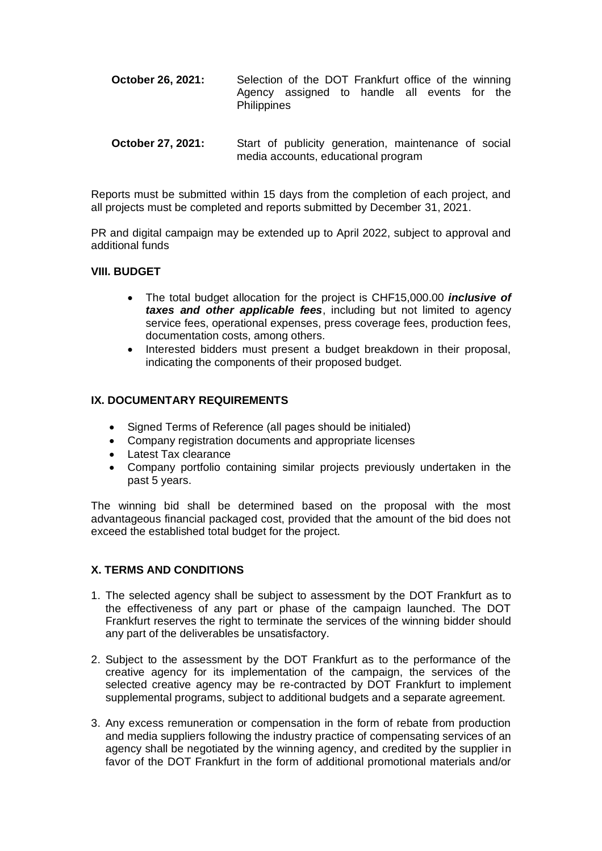- **October 26, 2021:** Selection of the DOT Frankfurt office of the winning Agency assigned to handle all events for the **Philippines**
- **October 27, 2021:** Start of publicity generation, maintenance of social media accounts, educational program

Reports must be submitted within 15 days from the completion of each project, and all projects must be completed and reports submitted by December 31, 2021.

PR and digital campaign may be extended up to April 2022, subject to approval and additional funds

#### **VIII. BUDGET**

- The total budget allocation for the project is CHF15,000.00 *inclusive of taxes and other applicable fees*, including but not limited to agency service fees, operational expenses, press coverage fees, production fees, documentation costs, among others.
- Interested bidders must present a budget breakdown in their proposal, indicating the components of their proposed budget.

#### **IX. DOCUMENTARY REQUIREMENTS**

- Signed Terms of Reference (all pages should be initialed)
- Company registration documents and appropriate licenses
- Latest Tax clearance
- Company portfolio containing similar projects previously undertaken in the past 5 years.

The winning bid shall be determined based on the proposal with the most advantageous financial packaged cost, provided that the amount of the bid does not exceed the established total budget for the project.

# **X. TERMS AND CONDITIONS**

- 1. The selected agency shall be subject to assessment by the DOT Frankfurt as to the effectiveness of any part or phase of the campaign launched. The DOT Frankfurt reserves the right to terminate the services of the winning bidder should any part of the deliverables be unsatisfactory.
- 2. Subject to the assessment by the DOT Frankfurt as to the performance of the creative agency for its implementation of the campaign, the services of the selected creative agency may be re-contracted by DOT Frankfurt to implement supplemental programs, subject to additional budgets and a separate agreement.
- 3. Any excess remuneration or compensation in the form of rebate from production and media suppliers following the industry practice of compensating services of an agency shall be negotiated by the winning agency, and credited by the supplier in favor of the DOT Frankfurt in the form of additional promotional materials and/or